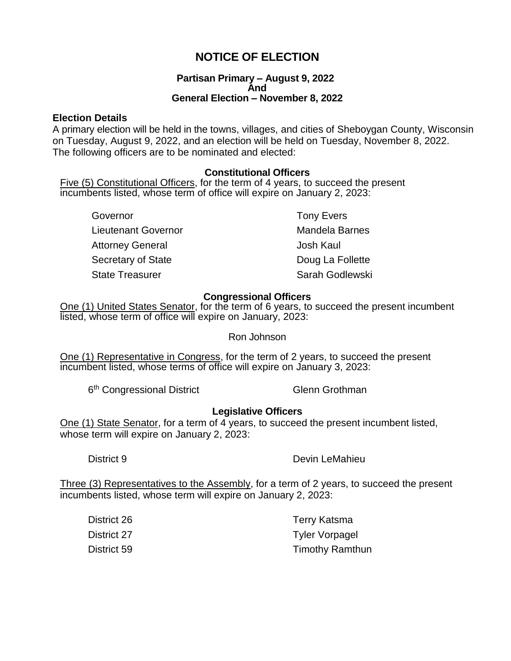# **NOTICE OF ELECTION**

#### **Partisan Primary – August 9, 2022 And General Election – November 8, 2022**

### **Election Details**

A primary election will be held in the towns, villages, and cities of Sheboygan County, Wisconsin on Tuesday, August 9, 2022, and an election will be held on Tuesday, November 8, 2022. The following officers are to be nominated and elected:

## **Constitutional Officers**

Five (5) Constitutional Officers, for the term of 4 years, to succeed the present incumbents listed, whose term of office will expire on January 2, 2023:

Governor **Tony Evers** Lieutenant Governor **Mandela Barnes** Attorney General and The Theorem Josh Kaul Secretary of State Doug La Follette State Treasurer State Treasurer Sarah Godlewski

# **Congressional Officers**

One (1) United States Senator, for the term of 6 years, to succeed the present incumbent listed, whose term of office will expire on January, 2023:

Ron Johnson

One (1) Representative in Congress, for the term of 2 years, to succeed the present incumbent listed, whose terms of office will expire on January 3, 2023:

6<sup>th</sup> Congressional District Glenn Grothman

## **Legislative Officers**

One (1) State Senator, for a term of 4 years, to succeed the present incumbent listed, whose term will expire on January 2, 2023:

District 9 Devin LeMahieu

Three (3) Representatives to the Assembly, for a term of 2 years, to succeed the present incumbents listed, whose term will expire on January 2, 2023:

| District 26 | Terry Katsma           |
|-------------|------------------------|
| District 27 | <b>Tyler Vorpagel</b>  |
| District 59 | <b>Timothy Ramthun</b> |